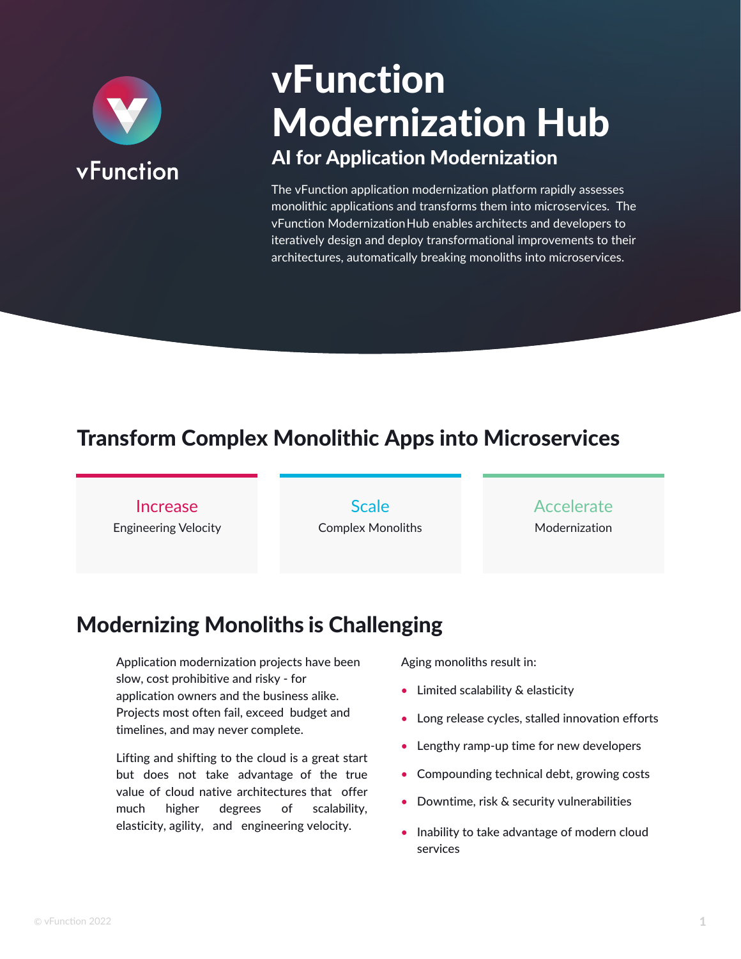

# vFunction Modernization Hub AI for Application Modernization

The vFunction application modernization platform rapidly assesses monolithic applications and transforms them into microservices. The vFunction Modernization Hub enables architects and developers to iteratively design and deploy transformational improvements to their architectures, automatically breaking monoliths into microservices.

# Transform Complex Monolithic Apps into Microservices

### Increase

Engineering Velocity

**Scale** Complex Monoliths

### Accelerate Modernization

# Modernizing Monoliths is Challenging

Application modernization projects have been slow, cost prohibitive and risky - for application owners and the business alike. Projects most often fail, exceed budget and timelines, and may never complete.

Lifting and shifting to the cloud is a great start but does not take advantage of the true value of cloud native architectures that offer much higher degrees of scalability, elasticity, agility, and engineering velocity.

Aging monoliths result in:

- Limited scalability & elasticity
- Long release cycles, stalled innovation efforts
- Lengthy ramp-up time for new developers
- Compounding technical debt, growing costs
- Downtime, risk & security vulnerabilities
- Inability to take advantage of modern cloud services